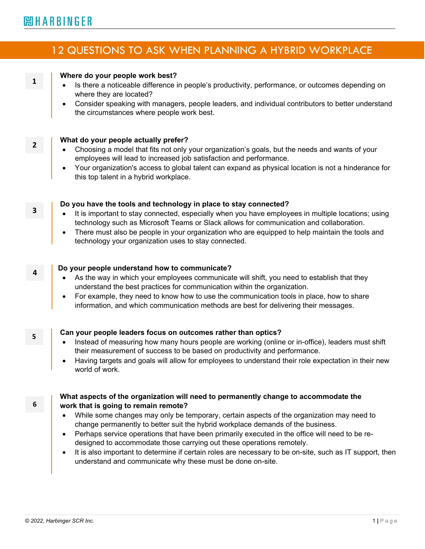# 12 QUESTIONS TO ASK WHEN PLANNING A HYBRID WORKPLACE

#### **1**

**2**

**3**

**4**

### **Where do your people work best?**

- Is there a noticeable difference in people's productivity, performance, or outcomes depending on where they are located?
- Consider speaking with managers, people leaders, and individual contributors to better understand the circumstances where people work best.

# **What do your people actually prefer?**

- Choosing a model that fits not only your organization's goals, but the needs and wants of your employees will lead to increased job satisfaction and performance.
- Your organization's access to global talent can expand as physical location is not a hinderance for this top talent in a hybrid workplace.

# **Do you have the tools and technology in place to stay connected?**

- It is important to stay connected, especially when you have employees in multiple locations; using technology such as Microsoft Teams or Slack allows for communication and collaboration.
- There must also be people in your organization who are equipped to help maintain the tools and technology your organization uses to stay connected.

### **Do your people understand how to communicate?**

- As the way in which your employees communicate will shift, you need to establish that they understand the best practices for communication within the organization.
- For example, they need to know how to use the communication tools in place, how to share information, and which communication methods are best for delivering their messages.

**5**

**6**

# **Can your people leaders focus on outcomes rather than optics?**

- Instead of measuring how many hours people are working (online or in-office), leaders must shift their measurement of success to be based on productivity and performance.
- Having targets and goals will allow for employees to understand their role expectation in their new world of work.

# **What aspects of the organization will need to permanently change to accommodate the work that is going to remain remote?**

- While some changes may only be temporary, certain aspects of the organization may need to change permanently to better suit the hybrid workplace demands of the business.
- Perhaps service operations that have been primarily executed in the office will need to be redesigned to accommodate those carrying out these operations remotely.
- It is also important to determine if certain roles are necessary to be on-site, such as IT support, then understand and communicate why these must be done on-site.